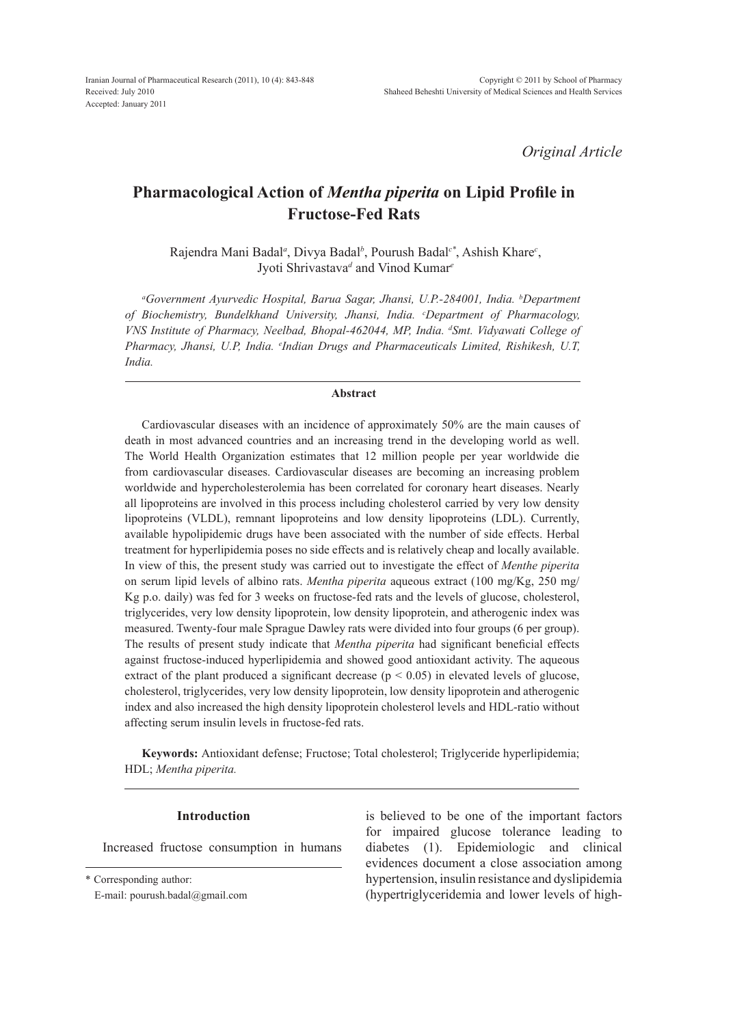*Original Article*

# **Pharmacological Action of** *Mentha piperita* **on Lipid Profile in Fructose-Fed Rats**

Rajendra Mani Badal*<sup>a</sup>* , Divya Badal*<sup>b</sup>* , Pourush Badal*c\**, Ashish Khare*<sup>c</sup>* , Jyoti Shrivastava*<sup>d</sup>* and Vinod Kumar*<sup>e</sup>*

*a Government Ayurvedic Hospital, Barua Sagar, Jhansi, U.P.-284001, India. b Department of Biochemistry, Bundelkhand University, Jhansi, India. c Department of Pharmacology,*  VNS Institute of Pharmacy, Neelbad, Bhopal-462044, MP, India. <sup>d</sup>Smt. Vidyawati College of *Pharmacy, Jhansi, U.P, India. e Indian Drugs and Pharmaceuticals Limited, Rishikesh, U.T, India.*

## **Abstract**

Cardiovascular diseases with an incidence of approximately 50% are the main causes of death in most advanced countries and an increasing trend in the developing world as well. The World Health Organization estimates that 12 million people per year worldwide die from cardiovascular diseases. Cardiovascular diseases are becoming an increasing problem worldwide and hypercholesterolemia has been correlated for coronary heart diseases. Nearly all lipoproteins are involved in this process including cholesterol carried by very low density lipoproteins (VLDL), remnant lipoproteins and low density lipoproteins (LDL). Currently, available hypolipidemic drugs have been associated with the number of side effects. Herbal treatment for hyperlipidemia poses no side effects and is relatively cheap and locally available. In view of this, the present study was carried out to investigate the effect of *Menthe piperita* on serum lipid levels of albino rats. *Mentha piperita* aqueous extract (100 mg/Kg, 250 mg/ Kg p.o. daily) was fed for 3 weeks on fructose-fed rats and the levels of glucose, cholesterol, triglycerides, very low density lipoprotein, low density lipoprotein, and atherogenic index was measured. Twenty-four male Sprague Dawley rats were divided into four groups (6 per group). The results of present study indicate that *Mentha piperita* had significant beneficial effects against fructose-induced hyperlipidemia and showed good antioxidant activity. The aqueous extract of the plant produced a significant decrease ( $p < 0.05$ ) in elevated levels of glucose, cholesterol, triglycerides, very low density lipoprotein, low density lipoprotein and atherogenic index and also increased the high density lipoprotein cholesterol levels and HDL-ratio without affecting serum insulin levels in fructose-fed rats.

**Keywords:** Antioxidant defense; Fructose; Total cholesterol; Triglyceride hyperlipidemia; HDL; *Mentha piperita.*

### **Introduction**

Increased fructose consumption in humans

\* Corresponding author:

E-mail: pourush.badal@gmail.com

is believed to be one of the important factors for impaired glucose tolerance leading to diabetes (1). Epidemiologic and clinical evidences document a close association among hypertension, insulin resistance and dyslipidemia (hypertriglyceridemia and lower levels of high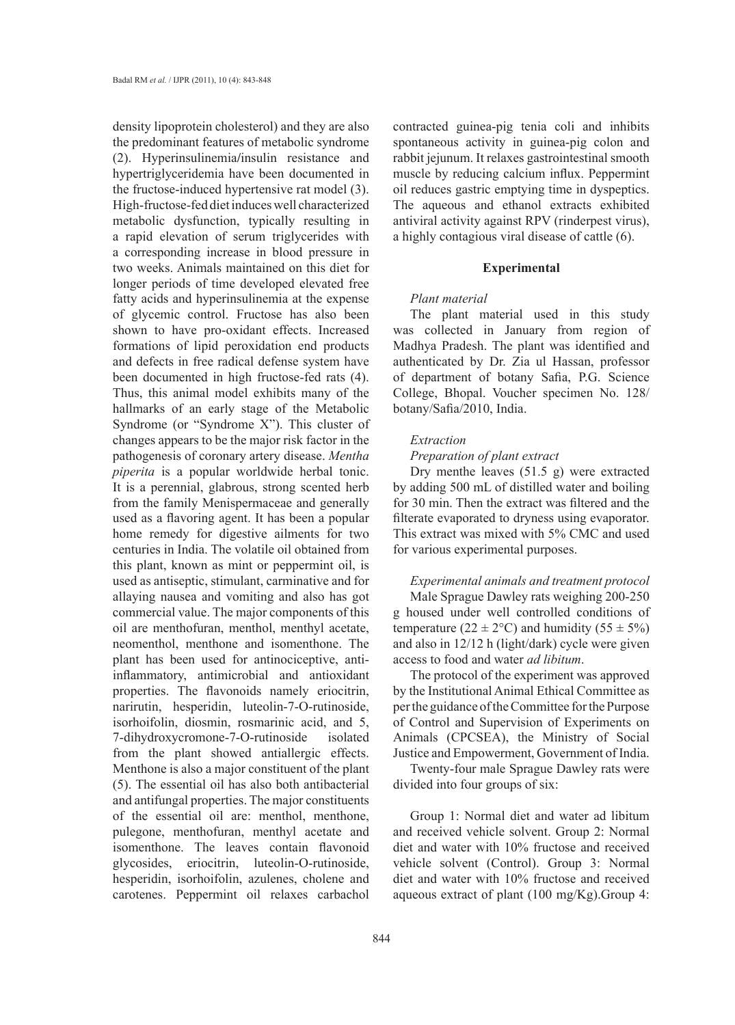density lipoprotein cholesterol) and they are also the predominant features of metabolic syndrome (2). Hyperinsulinemia**/**insulin resistance and hypertriglyceridemia have been documented in the fructose-induced hypertensive rat model (3). High-fructose-fed diet induces well characterized metabolic dysfunction, typically resulting in a rapid elevation of serum triglycerides with a corresponding increase in blood pressure in two weeks. Animals maintained on this diet for longer periods of time developed elevated free fatty acids and hyperinsulinemia at the expense of glycemic control. Fructose has also been shown to have pro-oxidant effects. Increased formations of lipid peroxidation end products and defects in free radical defense system have been documented in high fructose-fed rats (4). Thus, this animal model exhibits many of the hallmarks of an early stage of the Metabolic Syndrome (or "Syndrome X"). This cluster of changes appears to be the major risk factor in the pathogenesis of coronary artery disease. *Mentha piperita* is a popular worldwide herbal tonic. It is a perennial, glabrous, strong scented herb from the family Menispermaceae and generally used as a flavoring agent. It has been a popular home remedy for digestive ailments for two centuries in India. The volatile oil obtained from this plant, known as mint or peppermint oil, is used as antiseptic, stimulant, carminative and for allaying nausea and vomiting and also has got commercial value. The major components of this oil are menthofuran, menthol, menthyl acetate, neomenthol, menthone and isomenthone. The plant has been used for antinociceptive, antiinflammatory, antimicrobial and antioxidant properties. The flavonoids namely eriocitrin, narirutin, hesperidin, luteolin-7-O-rutinoside, isorhoifolin, diosmin, rosmarinic acid, and 5, 7-dihydroxycromone-7-O-rutinoside isolated from the plant showed antiallergic effects. Menthone is also a major constituent of the plant (5). The essential oil has also both antibacterial and antifungal properties. The major constituents of the essential oil are: menthol, menthone, pulegone, menthofuran, menthyl acetate and isomenthone. The leaves contain flavonoid glycosides, eriocitrin, luteolin-O-rutinoside, hesperidin, isorhoifolin, azulenes, cholene and carotenes. Peppermint oil relaxes carbachol

contracted guinea-pig tenia coli and inhibits spontaneous activity in guinea-pig colon and rabbit jejunum. It relaxes gastrointestinal smooth muscle by reducing calcium influx. Peppermint oil reduces gastric emptying time in dyspeptics. The aqueous and ethanol extracts exhibited antiviral activity against RPV (rinderpest virus), a highly contagious viral disease of cattle (6).

### **Experimental**

#### *Plant material*

The plant material used in this study was collected in January from region of Madhya Pradesh. The plant was identified and authenticated by Dr. Zia ul Hassan, professor of department of botany Safia, P.G. Science College, Bhopal. Voucher specimen No. 128/ botany/Safia/2010, India.

### *Extraction*

## *Preparation of plant extract*

Dry menthe leaves (51.5 g) were extracted by adding 500 mL of distilled water and boiling for 30 min. Then the extract was filtered and the filterate evaporated to dryness using evaporator. This extract was mixed with 5% CMC and used for various experimental purposes.

*Experimental animals and treatment protocol* Male Sprague Dawley rats weighing 200-250 g housed under well controlled conditions of temperature ( $22 \pm 2$ °C) and humidity ( $55 \pm 5\%$ ) and also in 12/12 h (light/dark) cycle were given access to food and water *ad libitum*.

The protocol of the experiment was approved by the Institutional Animal Ethical Committee as per the guidance of the Committee for the Purpose of Control and Supervision of Experiments on Animals (CPCSEA), the Ministry of Social Justice and Empowerment, Government of India.

Twenty-four male Sprague Dawley rats were divided into four groups of six:

Group 1: Normal diet and water ad libitum and received vehicle solvent. Group 2: Normal diet and water with 10% fructose and received vehicle solvent (Control). Group 3: Normal diet and water with 10% fructose and received aqueous extract of plant (100 mg/Kg).Group 4: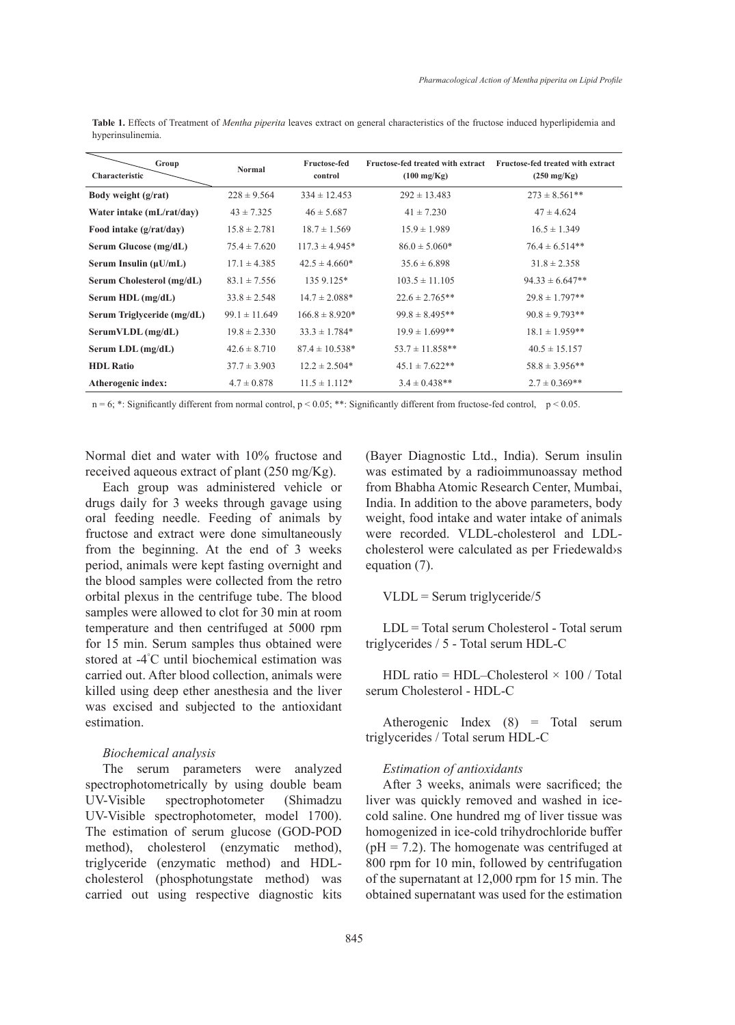| Group<br>Characteristic    | <b>Normal</b>     | <b>Fructose-fed</b><br>control | Fructose-fed treated with extract<br>$(100 \text{ mg/Kg})$ | Fructose-fed treated with extract<br>$(250 \text{ mg/Kg})$ |
|----------------------------|-------------------|--------------------------------|------------------------------------------------------------|------------------------------------------------------------|
| Body weight $(g/rat)$      | $228 \pm 9.564$   | $334 \pm 12.453$               | $292 \pm 13.483$                                           | $273 \pm 8.561$ **                                         |
| Water intake (mL/rat/day)  | $43 \pm 7.325$    | $46 \pm 5.687$                 | $41 \pm 7.230$                                             | $47 \pm 4.624$                                             |
| Food intake (g/rat/day)    | $15.8 \pm 2.781$  | $18.7 \pm 1.569$               | $15.9 \pm 1.989$                                           | $16.5 \pm 1.349$                                           |
| Serum Glucose (mg/dL)      | $75.4 \pm 7.620$  | $117.3 \pm 4.945*$             | $86.0 \pm 5.060*$                                          | $76.4 \pm 6.514**$                                         |
| Serum Insulin $(\mu U/mL)$ | $17.1 \pm 4.385$  | $42.5 \pm 4.660*$              | $35.6 \pm 6.898$                                           | $31.8 \pm 2.358$                                           |
| Serum Cholesterol (mg/dL)  | $83.1 \pm 7.556$  | 135 9.125*                     | $103.5 \pm 11.105$                                         | $94.33 \pm 6.647**$                                        |
| Serum HDL (mg/dL)          | $33.8 \pm 2.548$  | $14.7 \pm 2.088*$              | $22.6 \pm 2.765**$                                         | $29.8 \pm 1.797**$                                         |
| Serum Triglyceride (mg/dL) | $99.1 \pm 11.649$ | $166.8 \pm 8.920*$             | $99.8 \pm 8.495**$                                         | $90.8 \pm 9.793**$                                         |
| SerumVLDL (mg/dL)          | $19.8 \pm 2.330$  | $33.3 \pm 1.784*$              | $19.9 \pm 1.699**$                                         | $18.1 \pm 1.959**$                                         |
| Serum LDL (mg/dL)          | $42.6 \pm 8.710$  | $87.4 \pm 10.538*$             | $53.7 \pm 11.858**$                                        | $40.5 \pm 15.157$                                          |
| <b>HDL Ratio</b>           | $37.7 \pm 3.903$  | $12.2 \pm 2.504*$              | $45.1 \pm 7.622**$                                         | $58.8 \pm 3.956**$                                         |
| Atherogenic index:         | $4.7 \pm 0.878$   | $11.5 \pm 1.112*$              | $3.4 \pm 0.438**$                                          | $2.7 \pm 0.369**$                                          |

**Table 1.** Effects of Treatment of *Mentha piperita* leaves extract on general characteristics of the fructose induced hyperlipidemia and hyperinsulinemia.

n = 6; \*: Significantly different from normal control, p < 0.05; \*\*: Significantly different from fructose-fed control, p < 0.05.

Normal diet and water with 10% fructose and received aqueous extract of plant (250 mg/Kg).

Each group was administered vehicle or drugs daily for 3 weeks through gavage using oral feeding needle. Feeding of animals by fructose and extract were done simultaneously from the beginning. At the end of 3 weeks period, animals were kept fasting overnight and the blood samples were collected from the retro orbital plexus in the centrifuge tube. The blood samples were allowed to clot for 30 min at room temperature and then centrifuged at 5000 rpm for 15 min. Serum samples thus obtained were stored at -4° C until biochemical estimation was carried out. After blood collection, animals were killed using deep ether anesthesia and the liver was excised and subjected to the antioxidant estimation.

### *Biochemical analysis*

The serum parameters were analyzed spectrophotometrically by using double beam UV-Visible spectrophotometer (Shimadzu UV-Visible spectrophotometer, model 1700). The estimation of serum glucose (GOD-POD method), cholesterol (enzymatic method), triglyceride (enzymatic method) and HDLcholesterol (phosphotungstate method) was carried out using respective diagnostic kits (Bayer Diagnostic Ltd., India). Serum insulin was estimated by a radioimmunoassay method from Bhabha Atomic Research Center, Mumbai, India. In addition to the above parameters, body weight, food intake and water intake of animals were recorded. VLDL-cholesterol and LDLcholesterol were calculated as per Friedewald›s equation (7).

 $VLDL =$  Serum triglyceride/5

LDL = Total serum Cholesterol - Total serum triglycerides / 5 - Total serum HDL-C

HDL ratio = HDL–Cholesterol  $\times$  100 / Total serum Cholesterol - HDL-C

Atherogenic Index (8) = Total serum triglycerides / Total serum HDL-C

# *Estimation of antioxidants*

After 3 weeks, animals were sacrificed; the liver was quickly removed and washed in icecold saline. One hundred mg of liver tissue was homogenized in ice-cold trihydrochloride buffer  $(pH = 7.2)$ . The homogenate was centrifuged at 800 rpm for 10 min, followed by centrifugation of the supernatant at 12,000 rpm for 15 min. The obtained supernatant was used for the estimation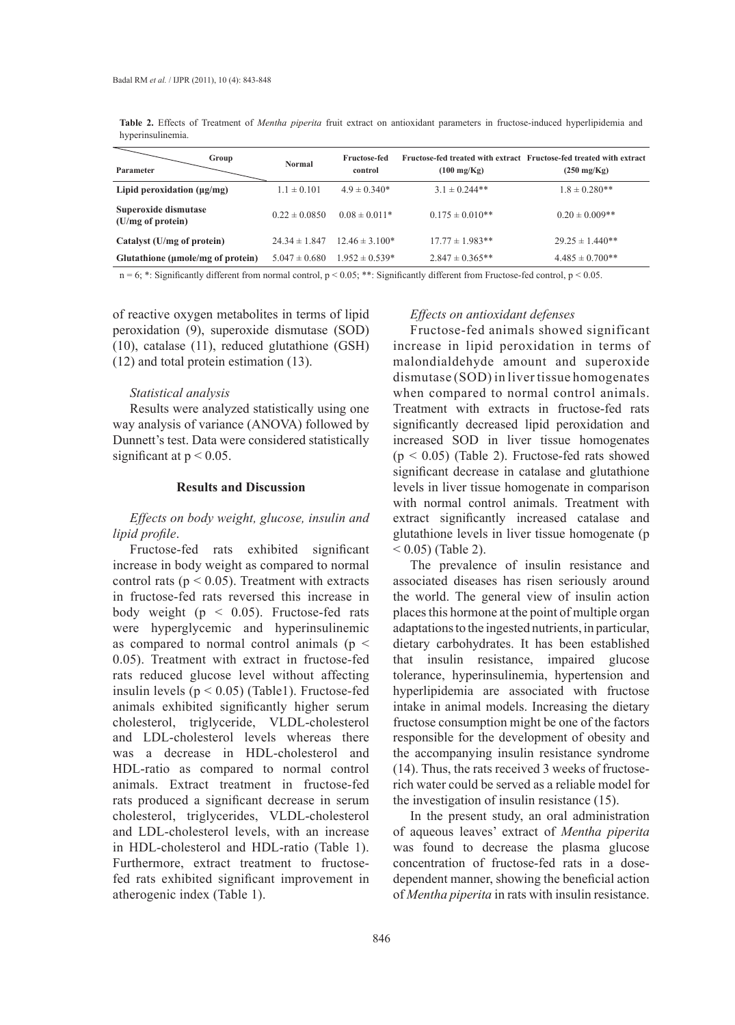**Table 2.** Effects of Treatment of *Mentha piperita* fruit extract on antioxidant parameters in fructose-induced hyperlipidemia and hyperinsulinemia.

| Group<br>Parameter                        | <b>Normal</b>     | <b>Fructose-fed</b><br>control | $(100 \text{ mg/Kg})$ | Fructose-fed treated with extract Fructose-fed treated with extract<br>$(250 \text{ mg/Kg})$ |
|-------------------------------------------|-------------------|--------------------------------|-----------------------|----------------------------------------------------------------------------------------------|
| Lipid peroxidation $(\mu g/mg)$           | $1.1 \pm 0.101$   | $4.9 \pm 0.340*$               | $3.1 \pm 0.244**$     | $1.8 \pm 0.280**$                                                                            |
| Superoxide dismutase<br>(U/mg of protein) | $0.22 \pm 0.0850$ | $0.08 \pm 0.011*$              | $0.175 \pm 0.010**$   | $0.20 \pm 0.009**$                                                                           |
| Catalyst (U/mg of protein)                | $24.34 \pm 1.847$ | $12.46 \pm 3.100*$             | $17.77 \pm 1.983**$   | $29.25 \pm 1.440**$                                                                          |
| Glutathione (umole/mg of protein)         | $5.047 \pm 0.680$ | $1.952 \pm 0.539*$             | $2.847 \pm 0.365**$   | $4.485 \pm 0.700**$                                                                          |
|                                           |                   |                                |                       |                                                                                              |

 $n = 6$ ; \*: Significantly different from normal control,  $p < 0.05$ ; \*\*: Significantly different from Fructose-fed control,  $p < 0.05$ .

of reactive oxygen metabolites in terms of lipid peroxidation (9), superoxide dismutase (SOD) (10), catalase (11), reduced glutathione (GSH) (12) and total protein estimation (13).

### *Statistical analysis*

Results were analyzed statistically using one way analysis of variance (ANOVA) followed by Dunnett's test. Data were considered statistically significant at  $p < 0.05$ .

### **Results and Discussion**

# *Effects on body weight, glucose, insulin and lipid profile*.

Fructose-fed rats exhibited significant increase in body weight as compared to normal control rats ( $p < 0.05$ ). Treatment with extracts in fructose-fed rats reversed this increase in body weight ( $p < 0.05$ ). Fructose-fed rats were hyperglycemic and hyperinsulinemic as compared to normal control animals ( $p <$ 0.05). Treatment with extract in fructose-fed rats reduced glucose level without affecting insulin levels  $(p < 0.05)$  (Table1). Fructose-fed animals exhibited significantly higher serum cholesterol, triglyceride, VLDL-cholesterol and LDL-cholesterol levels whereas there was a decrease in HDL-cholesterol and HDL-ratio as compared to normal control animals. Extract treatment in fructose-fed rats produced a significant decrease in serum cholesterol, triglycerides, VLDL-cholesterol and LDL-cholesterol levels, with an increase in HDL-cholesterol and HDL-ratio (Table 1). Furthermore, extract treatment to fructosefed rats exhibited significant improvement in atherogenic index (Table 1).

### *Effects on antioxidant defenses*

Fructose-fed animals showed significant increase in lipid peroxidation in terms of malondialdehyde amount and superoxide dismutase (SOD) in liver tissue homogenates when compared to normal control animals. Treatment with extracts in fructose-fed rats significantly decreased lipid peroxidation and increased SOD in liver tissue homogenates  $(p < 0.05)$  (Table 2). Fructose-fed rats showed significant decrease in catalase and glutathione levels in liver tissue homogenate in comparison with normal control animals. Treatment with extract significantly increased catalase and glutathione levels in liver tissue homogenate (p  $(0.05)$  (Table 2).

The prevalence of insulin resistance and associated diseases has risen seriously around the world. The general view of insulin action places this hormone at the point of multiple organ adaptations to the ingested nutrients, in particular, dietary carbohydrates. It has been established that insulin resistance, impaired glucose tolerance, hyperinsulinemia, hypertension and hyperlipidemia are associated with fructose intake in animal models. Increasing the dietary fructose consumption might be one of the factors responsible for the development of obesity and the accompanying insulin resistance syndrome (14). Thus, the rats received 3 weeks of fructoserich water could be served as a reliable model for the investigation of insulin resistance (15).

In the present study, an oral administration of aqueous leaves' extract of *Mentha piperita*  was found to decrease the plasma glucose concentration of fructose-fed rats in a dosedependent manner, showing the beneficial action of *Mentha piperita* in rats with insulin resistance.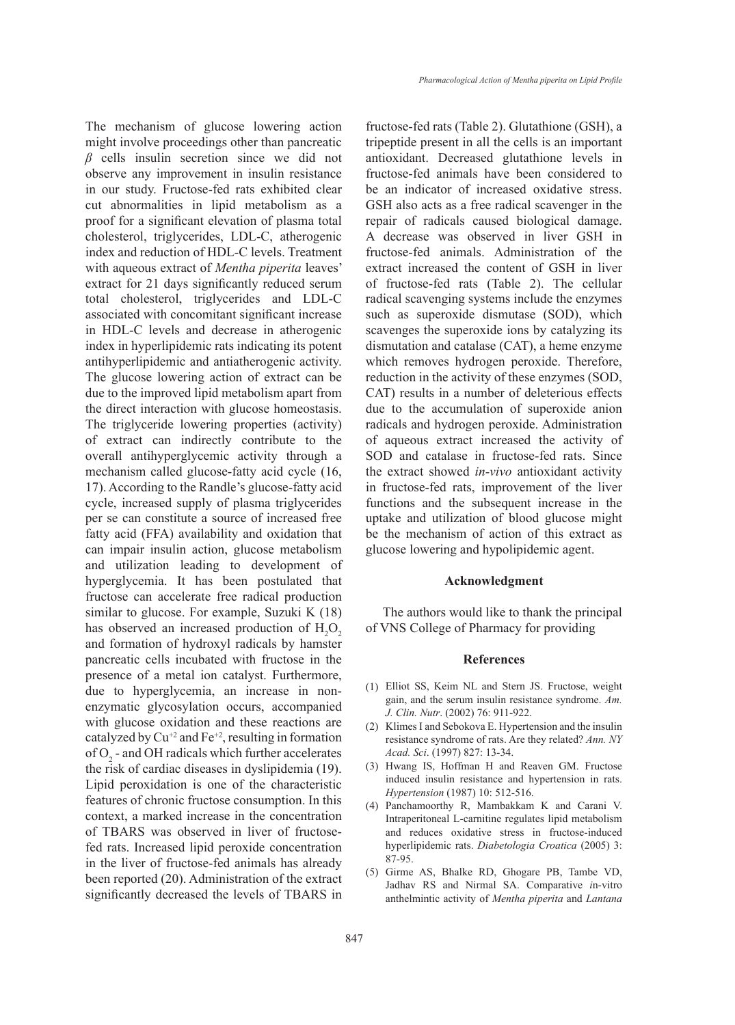The mechanism of glucose lowering action might involve proceedings other than pancreatic *β* cells insulin secretion since we did not observe any improvement in insulin resistance in our study. Fructose-fed rats exhibited clear cut abnormalities in lipid metabolism as a proof for a significant elevation of plasma total cholesterol, triglycerides, LDL-C, atherogenic index and reduction of HDL-C levels. Treatment with aqueous extract of *Mentha piperita* leaves' extract for 21 days significantly reduced serum total cholesterol, triglycerides and LDL-C associated with concomitant significant increase in HDL-C levels and decrease in atherogenic index in hyperlipidemic rats indicating its potent antihyperlipidemic and antiatherogenic activity. The glucose lowering action of extract can be due to the improved lipid metabolism apart from the direct interaction with glucose homeostasis. The triglyceride lowering properties (activity) of extract can indirectly contribute to the overall antihyperglycemic activity through a mechanism called glucose-fatty acid cycle (16, 17). According to the Randle's glucose-fatty acid cycle, increased supply of plasma triglycerides per se can constitute a source of increased free fatty acid (FFA) availability and oxidation that can impair insulin action, glucose metabolism and utilization leading to development of hyperglycemia. It has been postulated that fructose can accelerate free radical production similar to glucose. For example, Suzuki K (18) has observed an increased production of  $H_2O_2$ and formation of hydroxyl radicals by hamster pancreatic cells incubated with fructose in the presence of a metal ion catalyst. Furthermore, due to hyperglycemia, an increase in nonenzymatic glycosylation occurs, accompanied with glucose oxidation and these reactions are catalyzed by  $Cu^{+2}$  and  $Fe^{+2}$ , resulting in formation of  $O_2$  - and OH radicals which further accelerates the risk of cardiac diseases in dyslipidemia (19). Lipid peroxidation is one of the characteristic features of chronic fructose consumption. In this context, a marked increase in the concentration of TBARS was observed in liver of fructosefed rats. Increased lipid peroxide concentration in the liver of fructose-fed animals has already been reported (20). Administration of the extract significantly decreased the levels of TBARS in

fructose-fed rats (Table 2). Glutathione (GSH), a tripeptide present in all the cells is an important antioxidant. Decreased glutathione levels in fructose-fed animals have been considered to be an indicator of increased oxidative stress. GSH also acts as a free radical scavenger in the repair of radicals caused biological damage. A decrease was observed in liver GSH in fructose-fed animals. Administration of the extract increased the content of GSH in liver of fructose-fed rats (Table 2). The cellular radical scavenging systems include the enzymes such as superoxide dismutase (SOD), which scavenges the superoxide ions by catalyzing its dismutation and catalase (CAT), a heme enzyme which removes hydrogen peroxide. Therefore, reduction in the activity of these enzymes (SOD, CAT) results in a number of deleterious effects due to the accumulation of superoxide anion radicals and hydrogen peroxide. Administration of aqueous extract increased the activity of SOD and catalase in fructose-fed rats. Since the extract showed *in-vivo* antioxidant activity in fructose-fed rats, improvement of the liver functions and the subsequent increase in the uptake and utilization of blood glucose might be the mechanism of action of this extract as glucose lowering and hypolipidemic agent.

### **Acknowledgment**

The authors would like to thank the principal of VNS College of Pharmacy for providing

### **References**

- Elliot SS, Keim NL and Stern JS. Fructose, weight (1) gain, and the serum insulin resistance syndrome. *Am. J. Clin. Nutr*. (2002) 76: 911-922.
- $(2)$  Klimes I and Sebokova E. Hypertension and the insulin resistance syndrome of rats. Are they related? *Ann. NY Acad. Sci*. (1997) 827: 13-34.
- Hwang IS, Hoffman H and Reaven GM. Fructose (3) induced insulin resistance and hypertension in rats. *Hypertension* (1987) 10: 512-516.
- Panchamoorthy R, Mambakkam K and Carani V. (4) Intraperitoneal L-carnitine regulates lipid metabolism and reduces oxidative stress in fructose-induced hyperlipidemic rats. *Diabetologia Croatica* (2005) 3: 87-95.
- Girme AS, Bhalke RD, Ghogare PB, Tambe VD, (5) Jadhav RS and Nirmal SA. Comparative *i*n-vitro anthelmintic activity of *Mentha piperita* and *Lantana*